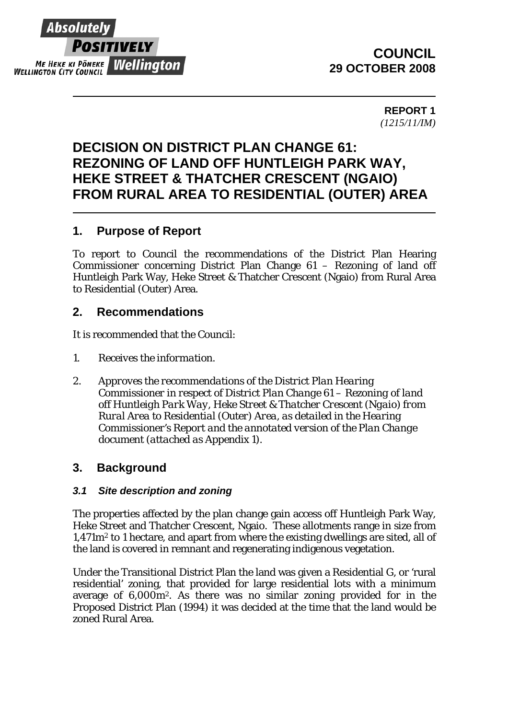

# **COUNCIL 29 OCTOBER 2008**

**REPORT 1**  *(1215/11/IM)* 

# **DECISION ON DISTRICT PLAN CHANGE 61: REZONING OF LAND OFF HUNTLEIGH PARK WAY, HEKE STREET & THATCHER CRESCENT (NGAIO) FROM RURAL AREA TO RESIDENTIAL (OUTER) AREA**

# **1. Purpose of Report**

To report to Council the recommendations of the District Plan Hearing Commissioner concerning District Plan Change 61 – Rezoning of land off Huntleigh Park Way, Heke Street & Thatcher Crescent (Ngaio) from Rural Area to Residential (Outer) Area.

## **2. Recommendations**

It is recommended that the Council:

- *1. Receives the information.*
- *2. Approves the recommendations of the District Plan Hearing Commissioner in respect of District Plan Change 61 – Rezoning of land off Huntleigh Park Way, Heke Street & Thatcher Crescent (Ngaio) from Rural Area to Residential (Outer) Area*, *as detailed in the Hearing Commissioner's Report and the annotated version of the Plan Change document (attached as Appendix 1).*

### **3. Background**

#### *3.1 Site description and zoning*

The properties affected by the plan change gain access off Huntleigh Park Way, Heke Street and Thatcher Crescent, Ngaio. These allotments range in size from 1,471m2 to 1 hectare, and apart from where the existing dwellings are sited, all of the land is covered in remnant and regenerating indigenous vegetation.

Under the Transitional District Plan the land was given a Residential G, or 'rural residential' zoning, that provided for large residential lots with a minimum average of 6,000m2. As there was no similar zoning provided for in the Proposed District Plan (1994) it was decided at the time that the land would be zoned Rural Area.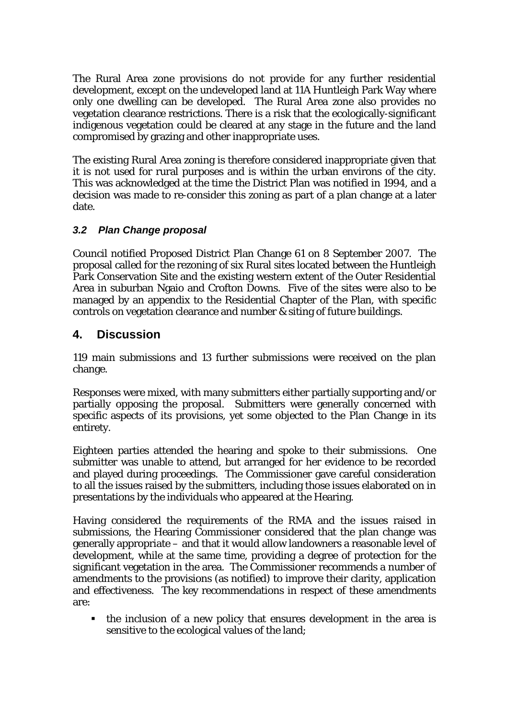The Rural Area zone provisions do not provide for any further residential development, except on the undeveloped land at 11A Huntleigh Park Way where only one dwelling can be developed. The Rural Area zone also provides no vegetation clearance restrictions. There is a risk that the ecologically-significant indigenous vegetation could be cleared at any stage in the future and the land compromised by grazing and other inappropriate uses.

The existing Rural Area zoning is therefore considered inappropriate given that it is not used for rural purposes and is within the urban environs of the city. This was acknowledged at the time the District Plan was notified in 1994, and a decision was made to re-consider this zoning as part of a plan change at a later date.

### *3.2 Plan Change proposal*

Council notified Proposed District Plan Change 61 on 8 September 2007. The proposal called for the rezoning of six Rural sites located between the Huntleigh Park Conservation Site and the existing western extent of the Outer Residential Area in suburban Ngaio and Crofton Downs. Five of the sites were also to be managed by an appendix to the Residential Chapter of the Plan, with specific controls on vegetation clearance and number & siting of future buildings.

# **4. Discussion**

119 main submissions and 13 further submissions were received on the plan change.

Responses were mixed, with many submitters either partially supporting and/or partially opposing the proposal. Submitters were generally concerned with specific aspects of its provisions, yet some objected to the Plan Change in its entirety.

Eighteen parties attended the hearing and spoke to their submissions. One submitter was unable to attend, but arranged for her evidence to be recorded and played during proceedings. The Commissioner gave careful consideration to all the issues raised by the submitters, including those issues elaborated on in presentations by the individuals who appeared at the Hearing.

Having considered the requirements of the RMA and the issues raised in submissions, the Hearing Commissioner considered that the plan change was generally appropriate – and that it would allow landowners a reasonable level of development, while at the same time, providing a degree of protection for the significant vegetation in the area. The Commissioner recommends a number of amendments to the provisions (as notified) to improve their clarity, application and effectiveness. The key recommendations in respect of these amendments are:

• the inclusion of a new policy that ensures development in the area is sensitive to the ecological values of the land;